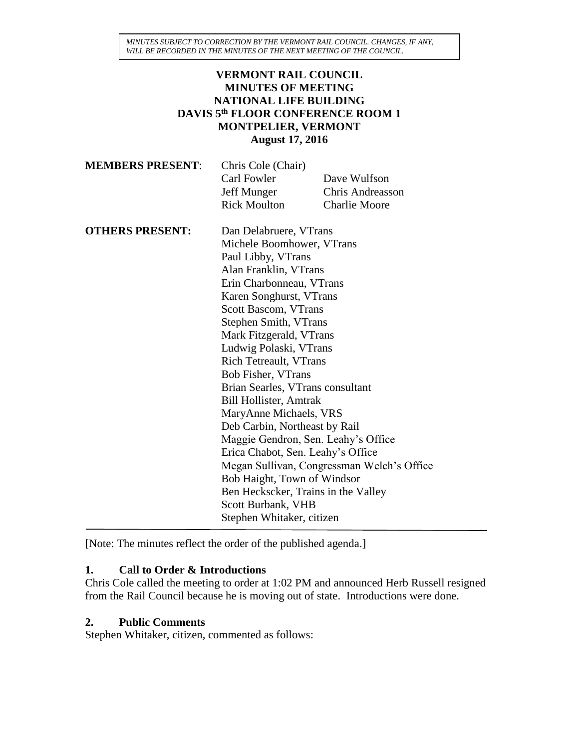### **VERMONT RAIL COUNCIL MINUTES OF MEETING NATIONAL LIFE BUILDING DAVIS 5 th FLOOR CONFERENCE ROOM 1 MONTPELIER, VERMONT August 17, 2016**

| Chris Cole (Chair)  |                         |
|---------------------|-------------------------|
| Carl Fowler         | Dave Wulfson            |
| Jeff Munger         | <b>Chris Andreasson</b> |
| <b>Rick Moulton</b> | <b>Charlie Moore</b>    |
|                     |                         |

| <b>OTHERS PRESENT:</b> | Dan Delabruere, VTrans                     |
|------------------------|--------------------------------------------|
|                        | Michele Boomhower, VTrans                  |
|                        | Paul Libby, VTrans                         |
|                        | Alan Franklin, VTrans                      |
|                        | Erin Charbonneau, VTrans                   |
|                        | Karen Songhurst, VTrans                    |
|                        | Scott Bascom, VTrans                       |
|                        | Stephen Smith, VTrans                      |
|                        | Mark Fitzgerald, VTrans                    |
|                        | Ludwig Polaski, VTrans                     |
|                        | <b>Rich Tetreault, VTrans</b>              |
|                        | Bob Fisher, VTrans                         |
|                        | Brian Searles, VTrans consultant           |
|                        | <b>Bill Hollister, Amtrak</b>              |
|                        | MaryAnne Michaels, VRS                     |
|                        | Deb Carbin, Northeast by Rail              |
|                        | Maggie Gendron, Sen. Leahy's Office        |
|                        | Erica Chabot, Sen. Leahy's Office          |
|                        | Megan Sullivan, Congressman Welch's Office |
|                        | Bob Haight, Town of Windsor                |
|                        | Ben Heckscker, Trains in the Valley        |
|                        | Scott Burbank, VHB                         |
|                        | Stephen Whitaker, citizen                  |

[Note: The minutes reflect the order of the published agenda.]

# **1. Call to Order & Introductions**

Chris Cole called the meeting to order at 1:02 PM and announced Herb Russell resigned from the Rail Council because he is moving out of state. Introductions were done.

### **2. Public Comments**

Stephen Whitaker, citizen, commented as follows: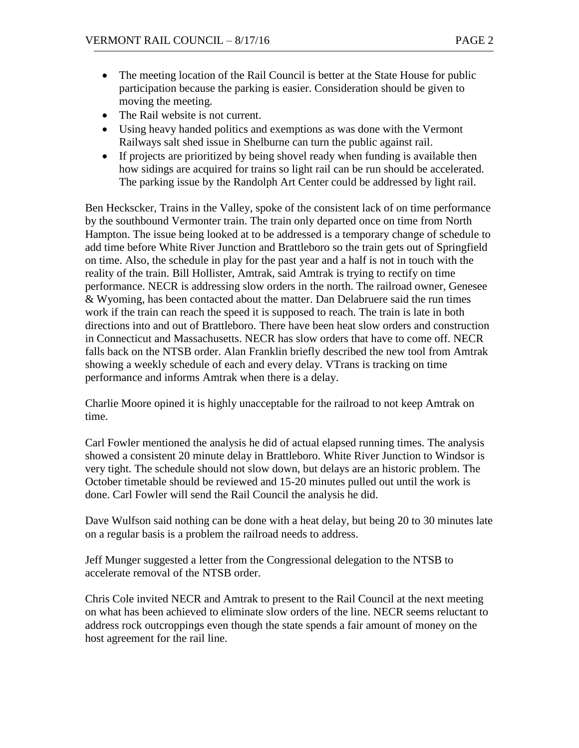- The meeting location of the Rail Council is better at the State House for public participation because the parking is easier. Consideration should be given to moving the meeting.
- The Rail website is not current.
- Using heavy handed politics and exemptions as was done with the Vermont Railways salt shed issue in Shelburne can turn the public against rail.
- If projects are prioritized by being shovel ready when funding is available then how sidings are acquired for trains so light rail can be run should be accelerated. The parking issue by the Randolph Art Center could be addressed by light rail.

Ben Heckscker, Trains in the Valley, spoke of the consistent lack of on time performance by the southbound Vermonter train. The train only departed once on time from North Hampton. The issue being looked at to be addressed is a temporary change of schedule to add time before White River Junction and Brattleboro so the train gets out of Springfield on time. Also, the schedule in play for the past year and a half is not in touch with the reality of the train. Bill Hollister, Amtrak, said Amtrak is trying to rectify on time performance. NECR is addressing slow orders in the north. The railroad owner, Genesee & Wyoming, has been contacted about the matter. Dan Delabruere said the run times work if the train can reach the speed it is supposed to reach. The train is late in both directions into and out of Brattleboro. There have been heat slow orders and construction in Connecticut and Massachusetts. NECR has slow orders that have to come off. NECR falls back on the NTSB order. Alan Franklin briefly described the new tool from Amtrak showing a weekly schedule of each and every delay. VTrans is tracking on time performance and informs Amtrak when there is a delay.

Charlie Moore opined it is highly unacceptable for the railroad to not keep Amtrak on time.

Carl Fowler mentioned the analysis he did of actual elapsed running times. The analysis showed a consistent 20 minute delay in Brattleboro. White River Junction to Windsor is very tight. The schedule should not slow down, but delays are an historic problem. The October timetable should be reviewed and 15-20 minutes pulled out until the work is done. Carl Fowler will send the Rail Council the analysis he did.

Dave Wulfson said nothing can be done with a heat delay, but being 20 to 30 minutes late on a regular basis is a problem the railroad needs to address.

Jeff Munger suggested a letter from the Congressional delegation to the NTSB to accelerate removal of the NTSB order.

Chris Cole invited NECR and Amtrak to present to the Rail Council at the next meeting on what has been achieved to eliminate slow orders of the line. NECR seems reluctant to address rock outcroppings even though the state spends a fair amount of money on the host agreement for the rail line.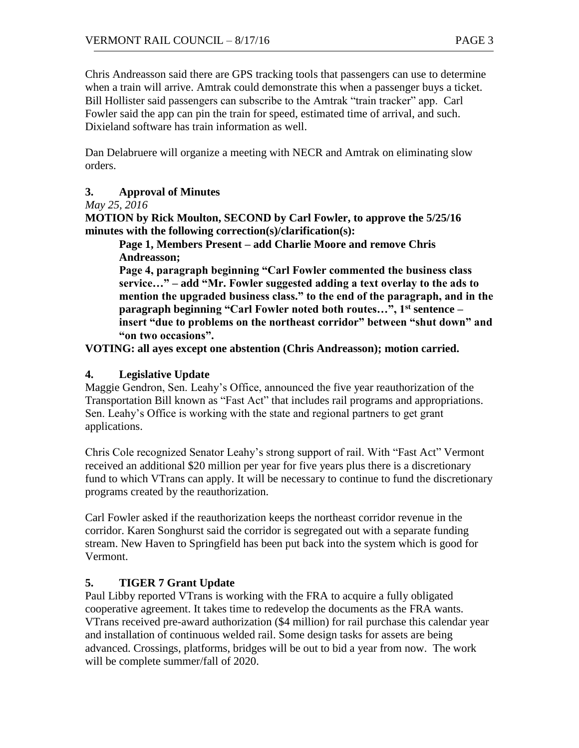Chris Andreasson said there are GPS tracking tools that passengers can use to determine when a train will arrive. Amtrak could demonstrate this when a passenger buys a ticket. Bill Hollister said passengers can subscribe to the Amtrak "train tracker" app. Carl Fowler said the app can pin the train for speed, estimated time of arrival, and such. Dixieland software has train information as well.

Dan Delabruere will organize a meeting with NECR and Amtrak on eliminating slow orders.

# **3. Approval of Minutes**

### *May 25, 2016*

**MOTION by Rick Moulton, SECOND by Carl Fowler, to approve the 5/25/16 minutes with the following correction(s)/clarification(s):**

**Page 1, Members Present – add Charlie Moore and remove Chris Andreasson;**

**Page 4, paragraph beginning "Carl Fowler commented the business class service…" – add "Mr. Fowler suggested adding a text overlay to the ads to mention the upgraded business class." to the end of the paragraph, and in the paragraph beginning "Carl Fowler noted both routes…", 1st sentence – insert "due to problems on the northeast corridor" between "shut down" and "on two occasions".**

**VOTING: all ayes except one abstention (Chris Andreasson); motion carried.**

### **4. Legislative Update**

Maggie Gendron, Sen. Leahy's Office, announced the five year reauthorization of the Transportation Bill known as "Fast Act" that includes rail programs and appropriations. Sen. Leahy's Office is working with the state and regional partners to get grant applications.

Chris Cole recognized Senator Leahy's strong support of rail. With "Fast Act" Vermont received an additional \$20 million per year for five years plus there is a discretionary fund to which VTrans can apply. It will be necessary to continue to fund the discretionary programs created by the reauthorization.

Carl Fowler asked if the reauthorization keeps the northeast corridor revenue in the corridor. Karen Songhurst said the corridor is segregated out with a separate funding stream. New Haven to Springfield has been put back into the system which is good for Vermont.

# **5. TIGER 7 Grant Update**

Paul Libby reported VTrans is working with the FRA to acquire a fully obligated cooperative agreement. It takes time to redevelop the documents as the FRA wants. VTrans received pre-award authorization (\$4 million) for rail purchase this calendar year and installation of continuous welded rail. Some design tasks for assets are being advanced. Crossings, platforms, bridges will be out to bid a year from now. The work will be complete summer/fall of 2020.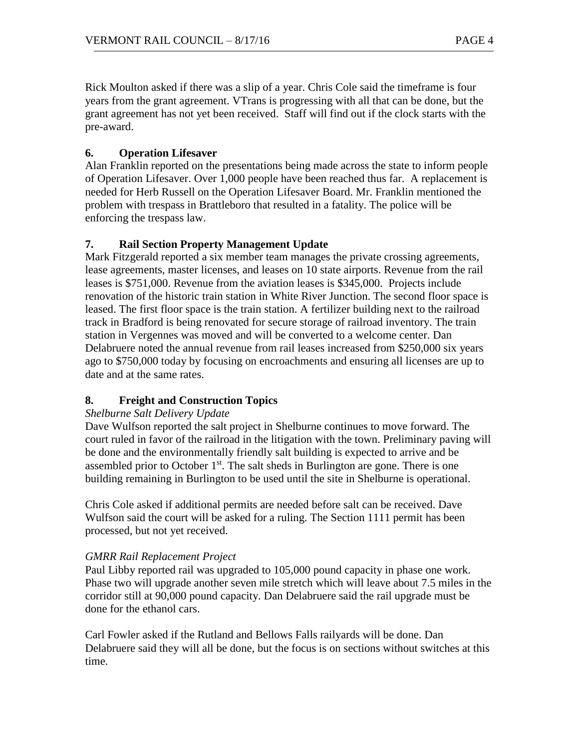Rick Moulton asked if there was a slip of a year. Chris Cole said the timeframe is four years from the grant agreement. VTrans is progressing with all that can be done, but the grant agreement has not yet been received. Staff will find out if the clock starts with the pre-award.

# **6. Operation Lifesaver**

Alan Franklin reported on the presentations being made across the state to inform people of Operation Lifesaver. Over 1,000 people have been reached thus far. A replacement is needed for Herb Russell on the Operation Lifesaver Board. Mr. Franklin mentioned the problem with trespass in Brattleboro that resulted in a fatality. The police will be enforcing the trespass law.

# **7. Rail Section Property Management Update**

Mark Fitzgerald reported a six member team manages the private crossing agreements, lease agreements, master licenses, and leases on 10 state airports. Revenue from the rail leases is \$751,000. Revenue from the aviation leases is \$345,000. Projects include renovation of the historic train station in White River Junction. The second floor space is leased. The first floor space is the train station. A fertilizer building next to the railroad track in Bradford is being renovated for secure storage of railroad inventory. The train station in Vergennes was moved and will be converted to a welcome center. Dan Delabruere noted the annual revenue from rail leases increased from \$250,000 six years ago to \$750,000 today by focusing on encroachments and ensuring all licenses are up to date and at the same rates.

# **8. Freight and Construction Topics**

# *Shelburne Salt Delivery Update*

Dave Wulfson reported the salt project in Shelburne continues to move forward. The court ruled in favor of the railroad in the litigation with the town. Preliminary paving will be done and the environmentally friendly salt building is expected to arrive and be assembled prior to October  $1<sup>st</sup>$ . The salt sheds in Burlington are gone. There is one building remaining in Burlington to be used until the site in Shelburne is operational.

Chris Cole asked if additional permits are needed before salt can be received. Dave Wulfson said the court will be asked for a ruling. The Section 1111 permit has been processed, but not yet received.

# *GMRR Rail Replacement Project*

Paul Libby reported rail was upgraded to 105,000 pound capacity in phase one work. Phase two will upgrade another seven mile stretch which will leave about 7.5 miles in the corridor still at 90,000 pound capacity. Dan Delabruere said the rail upgrade must be done for the ethanol cars.

Carl Fowler asked if the Rutland and Bellows Falls railyards will be done. Dan Delabruere said they will all be done, but the focus is on sections without switches at this time.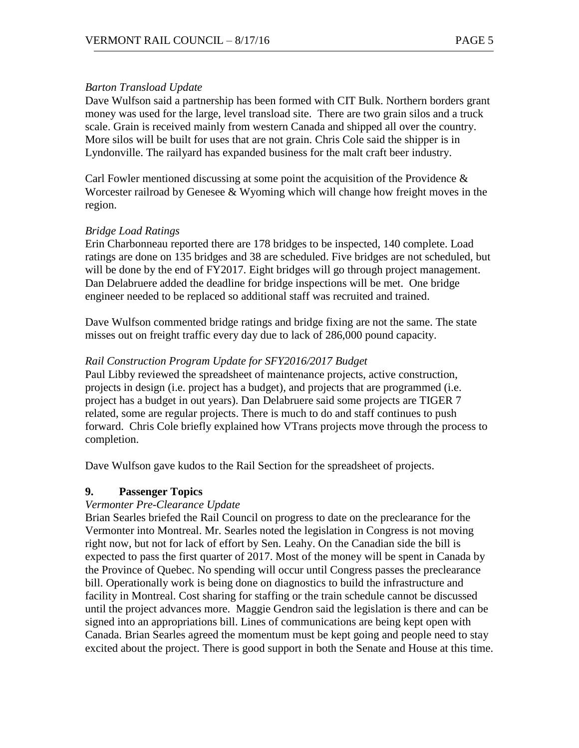#### *Barton Transload Update*

Dave Wulfson said a partnership has been formed with CIT Bulk. Northern borders grant money was used for the large, level transload site. There are two grain silos and a truck scale. Grain is received mainly from western Canada and shipped all over the country. More silos will be built for uses that are not grain. Chris Cole said the shipper is in Lyndonville. The railyard has expanded business for the malt craft beer industry.

Carl Fowler mentioned discussing at some point the acquisition of the Providence  $\&$ Worcester railroad by Genesee & Wyoming which will change how freight moves in the region.

### *Bridge Load Ratings*

Erin Charbonneau reported there are 178 bridges to be inspected, 140 complete. Load ratings are done on 135 bridges and 38 are scheduled. Five bridges are not scheduled, but will be done by the end of FY2017. Eight bridges will go through project management. Dan Delabruere added the deadline for bridge inspections will be met. One bridge engineer needed to be replaced so additional staff was recruited and trained.

Dave Wulfson commented bridge ratings and bridge fixing are not the same. The state misses out on freight traffic every day due to lack of 286,000 pound capacity.

### *Rail Construction Program Update for SFY2016/2017 Budget*

Paul Libby reviewed the spreadsheet of maintenance projects, active construction, projects in design (i.e. project has a budget), and projects that are programmed (i.e. project has a budget in out years). Dan Delabruere said some projects are TIGER 7 related, some are regular projects. There is much to do and staff continues to push forward. Chris Cole briefly explained how VTrans projects move through the process to completion.

Dave Wulfson gave kudos to the Rail Section for the spreadsheet of projects.

### **9. Passenger Topics**

#### *Vermonter Pre-Clearance Update*

Brian Searles briefed the Rail Council on progress to date on the preclearance for the Vermonter into Montreal. Mr. Searles noted the legislation in Congress is not moving right now, but not for lack of effort by Sen. Leahy. On the Canadian side the bill is expected to pass the first quarter of 2017. Most of the money will be spent in Canada by the Province of Quebec. No spending will occur until Congress passes the preclearance bill. Operationally work is being done on diagnostics to build the infrastructure and facility in Montreal. Cost sharing for staffing or the train schedule cannot be discussed until the project advances more. Maggie Gendron said the legislation is there and can be signed into an appropriations bill. Lines of communications are being kept open with Canada. Brian Searles agreed the momentum must be kept going and people need to stay excited about the project. There is good support in both the Senate and House at this time.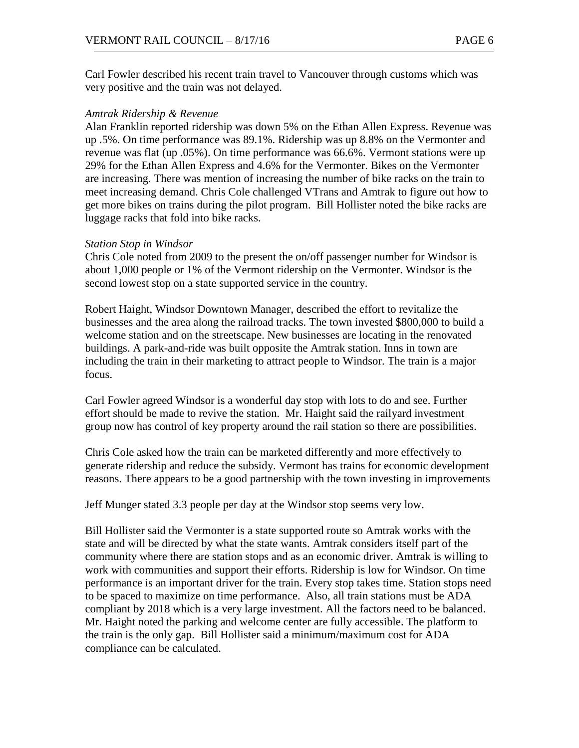Carl Fowler described his recent train travel to Vancouver through customs which was very positive and the train was not delayed.

#### *Amtrak Ridership & Revenue*

Alan Franklin reported ridership was down 5% on the Ethan Allen Express. Revenue was up .5%. On time performance was 89.1%. Ridership was up 8.8% on the Vermonter and revenue was flat (up .05%). On time performance was 66.6%. Vermont stations were up 29% for the Ethan Allen Express and 4.6% for the Vermonter. Bikes on the Vermonter are increasing. There was mention of increasing the number of bike racks on the train to meet increasing demand. Chris Cole challenged VTrans and Amtrak to figure out how to get more bikes on trains during the pilot program. Bill Hollister noted the bike racks are luggage racks that fold into bike racks.

#### *Station Stop in Windsor*

Chris Cole noted from 2009 to the present the on/off passenger number for Windsor is about 1,000 people or 1% of the Vermont ridership on the Vermonter. Windsor is the second lowest stop on a state supported service in the country.

Robert Haight, Windsor Downtown Manager, described the effort to revitalize the businesses and the area along the railroad tracks. The town invested \$800,000 to build a welcome station and on the streetscape. New businesses are locating in the renovated buildings. A park-and-ride was built opposite the Amtrak station. Inns in town are including the train in their marketing to attract people to Windsor. The train is a major focus.

Carl Fowler agreed Windsor is a wonderful day stop with lots to do and see. Further effort should be made to revive the station. Mr. Haight said the railyard investment group now has control of key property around the rail station so there are possibilities.

Chris Cole asked how the train can be marketed differently and more effectively to generate ridership and reduce the subsidy. Vermont has trains for economic development reasons. There appears to be a good partnership with the town investing in improvements

Jeff Munger stated 3.3 people per day at the Windsor stop seems very low.

Bill Hollister said the Vermonter is a state supported route so Amtrak works with the state and will be directed by what the state wants. Amtrak considers itself part of the community where there are station stops and as an economic driver. Amtrak is willing to work with communities and support their efforts. Ridership is low for Windsor. On time performance is an important driver for the train. Every stop takes time. Station stops need to be spaced to maximize on time performance. Also, all train stations must be ADA compliant by 2018 which is a very large investment. All the factors need to be balanced. Mr. Haight noted the parking and welcome center are fully accessible. The platform to the train is the only gap. Bill Hollister said a minimum/maximum cost for ADA compliance can be calculated.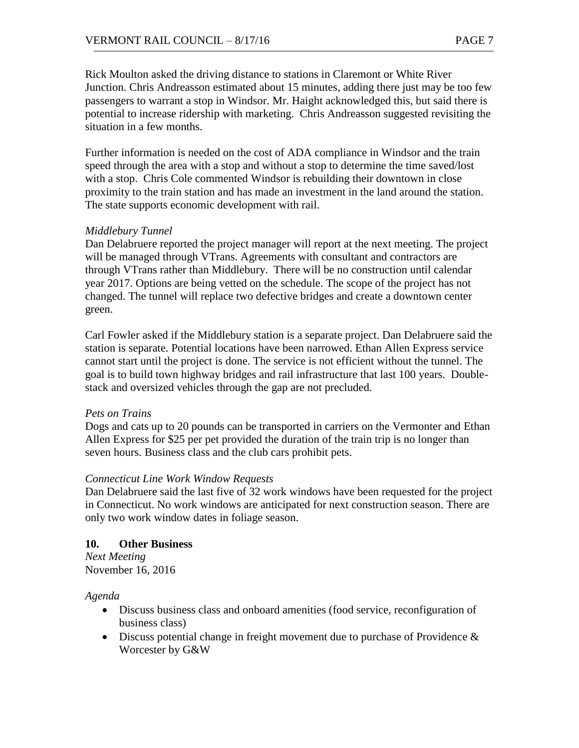Rick Moulton asked the driving distance to stations in Claremont or White River Junction. Chris Andreasson estimated about 15 minutes, adding there just may be too few passengers to warrant a stop in Windsor. Mr. Haight acknowledged this, but said there is potential to increase ridership with marketing. Chris Andreasson suggested revisiting the situation in a few months.

Further information is needed on the cost of ADA compliance in Windsor and the train speed through the area with a stop and without a stop to determine the time saved/lost with a stop. Chris Cole commented Windsor is rebuilding their downtown in close proximity to the train station and has made an investment in the land around the station. The state supports economic development with rail.

### *Middlebury Tunnel*

Dan Delabruere reported the project manager will report at the next meeting. The project will be managed through VTrans. Agreements with consultant and contractors are through VTrans rather than Middlebury. There will be no construction until calendar year 2017. Options are being vetted on the schedule. The scope of the project has not changed. The tunnel will replace two defective bridges and create a downtown center green.

Carl Fowler asked if the Middlebury station is a separate project. Dan Delabruere said the station is separate. Potential locations have been narrowed. Ethan Allen Express service cannot start until the project is done. The service is not efficient without the tunnel. The goal is to build town highway bridges and rail infrastructure that last 100 years. Doublestack and oversized vehicles through the gap are not precluded.

### *Pets on Trains*

Dogs and cats up to 20 pounds can be transported in carriers on the Vermonter and Ethan Allen Express for \$25 per pet provided the duration of the train trip is no longer than seven hours. Business class and the club cars prohibit pets.

### *Connecticut Line Work Window Requests*

Dan Delabruere said the last five of 32 work windows have been requested for the project in Connecticut. No work windows are anticipated for next construction season. There are only two work window dates in foliage season.

### **10. Other Business**

*Next Meeting* November 16, 2016

### *Agenda*

- Discuss business class and onboard amenities (food service, reconfiguration of business class)
- Discuss potential change in freight movement due to purchase of Providence & Worcester by G&W